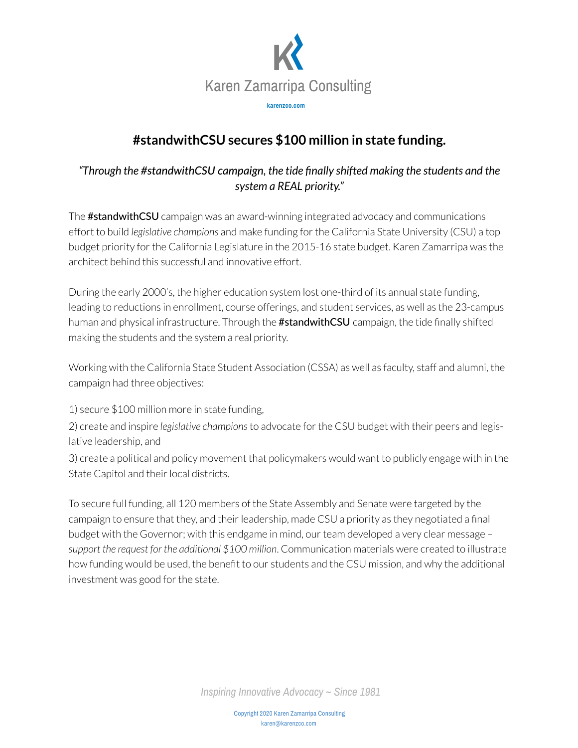

## **#standwithCSU secures \$100 million in state funding.**

## *"Through the #standwithCSU campaign, the tide finally shifted making the students and the system a REAL priority."*

The **#standwithCSU** campaign was an award-winning integrated advocacy and communications effort to build *legislative champions* and make funding for the California State University (CSU) a top budget priority for the California Legislature in the 2015-16 state budget. Karen Zamarripa was the architect behind this successful and innovative effort.

During the early 2000's, the higher education system lost one-third of its annual state funding, leading to reductions in enrollment, course offerings, and student services, as well as the 23-campus human and physical infrastructure. Through the #standwithCSU campaign, the tide finally shifted making the students and the system a real priority.

Working with the California State Student Association (CSSA) as well as faculty, staff and alumni, the campaign had three objectives:

1) secure \$100 million more in state funding,

2) create and inspire *legislative champions* to advocate for the CSU budget with their peers and legislative leadership, and

3) create a political and policy movement that policymakers would want to publicly engage with in the State Capitol and their local districts.

To secure full funding, all 120 members of the State Assembly and Senate were targeted by the campaign to ensure that they, and their leadership, made CSU a priority as they negotiated a final budget with the Governor; with this endgame in mind, our team developed a very clear message – *support the request for the additional \$100 million*. Communication materials were created to illustrate how funding would be used, the benefit to our students and the CSU mission, and why the additional investment was good for the state.

*Inspiring Innovative Advocacy ~ Since 1981*

Copyright 2020 Karen Zamarripa Consulting karen@karenzco.com